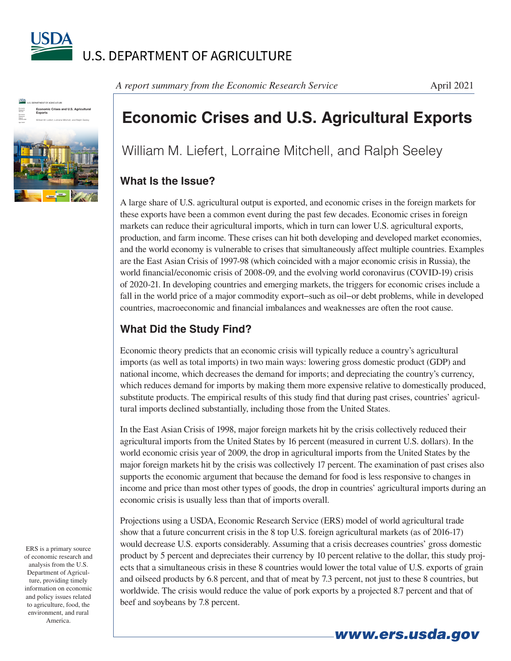



*A report summary from the Economic Research Service* 

## **Economic Crises and U.S. Agricultural Exports**

William M. Liefert, Lorraine Mitchell, and Ralph Seeley

## **What Is the Issue?**

A large share of U.S. agricultural output is exported, and economic crises in the foreign markets for these exports have been a common event during the past few decades. Economic crises in foreign markets can reduce their agricultural imports, which in turn can lower U.S. agricultural exports, production, and farm income. These crises can hit both developing and developed market economies, and the world economy is vulnerable to crises that simultaneously affect multiple countries. Examples are the East Asian Crisis of 1997-98 (which coincided with a major economic crisis in Russia), the world financial/economic crisis of 2008-09, and the evolving world coronavirus (COVID-19) crisis of 2020-21. In developing countries and emerging markets, the triggers for economic crises include a fall in the world price of a major commodity export−such as oil−or debt problems, while in developed countries, macroeconomic and financial imbalances and weaknesses are often the root cause.

## **What Did the Study Find?**

Economic theory predicts that an economic crisis will typically reduce a country's agricultural imports (as well as total imports) in two main ways: lowering gross domestic product (GDP) and national income, which decreases the demand for imports; and depreciating the country's currency, which reduces demand for imports by making them more expensive relative to domestically produced, substitute products. The empirical results of this study find that during past crises, countries' agricultural imports declined substantially, including those from the United States.

In the East Asian Crisis of 1998, major foreign markets hit by the crisis collectively reduced their agricultural imports from the United States by 16 percent (measured in current U.S. dollars). In the world economic crisis year of 2009, the drop in agricultural imports from the United States by the major foreign markets hit by the crisis was collectively 17 percent. The examination of past crises also supports the economic argument that because the demand for food is less responsive to changes in income and price than most other types of goods, the drop in countries' agricultural imports during an economic crisis is usually less than that of imports overall.

Projections using a USDA, Economic Research Service (ERS) model of world agricultural trade show that a future concurrent crisis in the 8 top U.S. foreign agricultural markets (as of 2016-17) would decrease U.S. exports considerably. Assuming that a crisis decreases countries' gross domestic product by 5 percent and depreciates their currency by 10 percent relative to the dollar, this study projects that a simultaneous crisis in these 8 countries would lower the total value of U.S. exports of grain and oilseed products by 6.8 percent, and that of meat by 7.3 percent, not just to these 8 countries, but worldwide. The crisis would reduce the value of pork exports by a projected 8.7 percent and that of beef and soybeans by 7.8 percent.

*www.ers.usda.gov*

ERS is a primary source of economic research and analysis from the U.S. Department of Agriculture, providing timely information on economic and policy issues related to agriculture, food, the environment, and rural America.